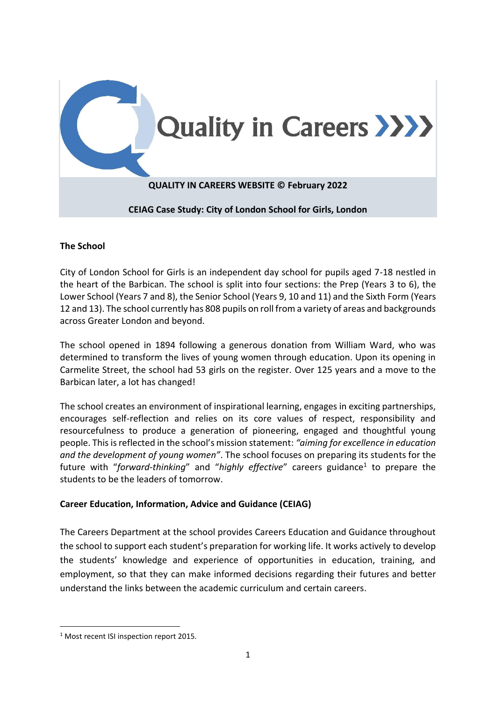

### **The School**

City of London School for Girls is an independent day school for pupils aged 7-18 nestled in the heart of the Barbican. The school is split into four sections: the Prep (Years 3 to 6), the Lower School (Years 7 and 8), the Senior School (Years 9, 10 and 11) and the Sixth Form (Years 12 and 13). The school currently has 808 pupils on roll from a variety of areas and backgrounds across Greater London and beyond.

The school opened in 1894 following a generous donation from William Ward, who was determined to transform the lives of young women through education. Upon its opening in Carmelite Street, the school had 53 girls on the register. Over 125 years and a move to the Barbican later, a lot has changed!

The school creates an environment of inspirational learning, engages in exciting partnerships, encourages self-reflection and relies on its core values of respect, responsibility and resourcefulness to produce a generation of pioneering, engaged and thoughtful young people. This is reflected in the school's mission statement: *"aiming for excellence in education and the development of young women"*. The school focuses on preparing its students for the future with "forward-thinking" and "highly effective" careers guidance<sup>1</sup> to prepare the students to be the leaders of tomorrow.

# **Career Education, Information, Advice and Guidance (CEIAG)**

The Careers Department at the school provides Careers Education and Guidance throughout the school to support each student's preparation for working life. It works actively to develop the students' knowledge and experience of opportunities in education, training, and employment, so that they can make informed decisions regarding their futures and better understand the links between the academic curriculum and certain careers.

<sup>&</sup>lt;sup>1</sup> Most recent ISI inspection report 2015.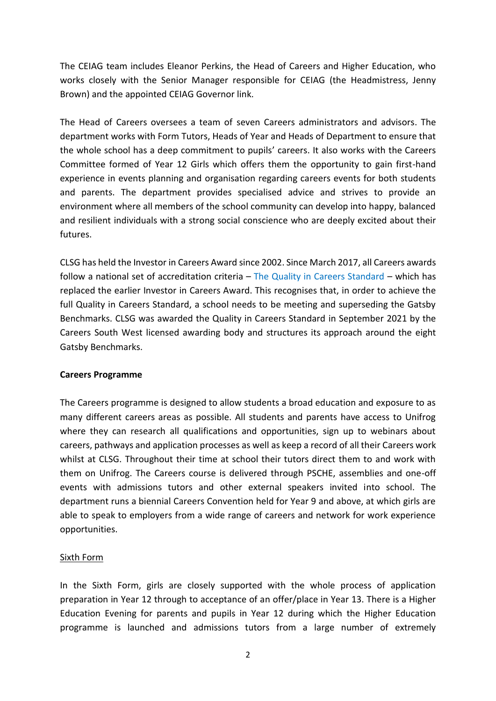The CEIAG team includes Eleanor Perkins, the Head of Careers and Higher Education, who works closely with the Senior Manager responsible for CEIAG (the Headmistress, Jenny Brown) and the appointed CEIAG Governor link.

The Head of Careers oversees a team of seven Careers administrators and advisors. The department works with Form Tutors, Heads of Year and Heads of Department to ensure that the whole school has a deep commitment to pupils' careers. It also works with the Careers Committee formed of Year 12 Girls which offers them the opportunity to gain first-hand experience in events planning and organisation regarding careers events for both students and parents. The department provides specialised advice and strives to provide an environment where all members of the school community can develop into happy, balanced and resilient individuals with a strong social conscience who are deeply excited about their futures.

CLSG has held the Investor in Careers Award since 2002. Since March 2017, all Careers awards follow a national set of accreditation criteria  $-$  The Quality in Careers Standard  $-$  which has replaced the earlier Investor in Careers Award. This recognises that, in order to achieve the full Quality in Careers Standard, a school needs to be meeting and superseding the Gatsby Benchmarks. CLSG was awarded the Quality in Careers Standard in September 2021 by the Careers South West licensed awarding body and structures its approach around the eight Gatsby Benchmarks.

### **Careers Programme**

The Careers programme is designed to allow students a broad education and exposure to as many different careers areas as possible. All students and parents have access to Unifrog where they can research all qualifications and opportunities, sign up to webinars about careers, pathways and application processes as well as keep a record of all their Careers work whilst at CLSG. Throughout their time at school their tutors direct them to and work with them on Unifrog. The Careers course is delivered through PSCHE, assemblies and one-off events with admissions tutors and other external speakers invited into school. The department runs a biennial Careers Convention held for Year 9 and above, at which girls are able to speak to employers from a wide range of careers and network for work experience opportunities.

### Sixth Form

In the Sixth Form, girls are closely supported with the whole process of application preparation in Year 12 through to acceptance of an offer/place in Year 13. There is a Higher Education Evening for parents and pupils in Year 12 during which the Higher Education programme is launched and admissions tutors from a large number of extremely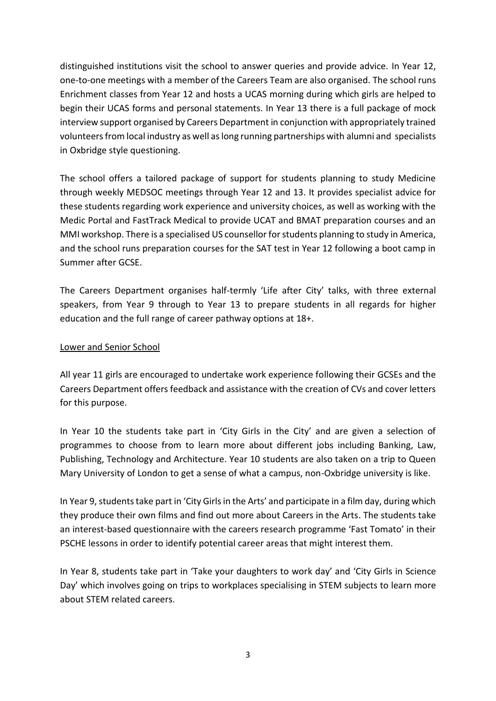distinguished institutions visit the school to answer queries and provide advice. In Year 12, one-to-one meetings with a member of the Careers Team are also organised. The school runs Enrichment classes from Year 12 and hosts a UCAS morning during which girls are helped to begin their UCAS forms and personal statements. In Year 13 there is a full package of mock interview support organised by Careers Department in conjunction with appropriately trained volunteers from local industry as well as long running partnerships with alumni and specialists in Oxbridge style questioning.

The school offers a tailored package of support for students planning to study Medicine through weekly MEDSOC meetings through Year 12 and 13. It provides specialist advice for these students regarding work experience and university choices, as well as working with the Medic Portal and FastTrack Medical to provide UCAT and BMAT preparation courses and an MMI workshop. There is a specialised US counsellor for students planning to study in America, and the school runs preparation courses for the SAT test in Year 12 following a boot camp in Summer after GCSE.

The Careers Department organises half-termly 'Life after City' talks, with three external speakers, from Year 9 through to Year 13 to prepare students in all regards for higher education and the full range of career pathway options at 18+.

## Lower and Senior School

All year 11 girls are encouraged to undertake work experience following their GCSEs and the Careers Department offers feedback and assistance with the creation of CVs and cover letters for this purpose.

In Year 10 the students take part in 'City Girls in the City' and are given a selection of programmes to choose from to learn more about different jobs including Banking, Law, Publishing, Technology and Architecture. Year 10 students are also taken on a trip to Queen Mary University of London to get a sense of what a campus, non-Oxbridge university is like.

In Year 9, students take part in 'City Girls in the Arts' and participate in a film day, during which they produce their own films and find out more about Careers in the Arts. The students take an interest-based questionnaire with the careers research programme 'Fast Tomato' in their PSCHE lessons in order to identify potential career areas that might interest them.

In Year 8, students take part in 'Take your daughters to work day' and 'City Girls in Science Day' which involves going on trips to workplaces specialising in STEM subjects to learn more about STEM related careers.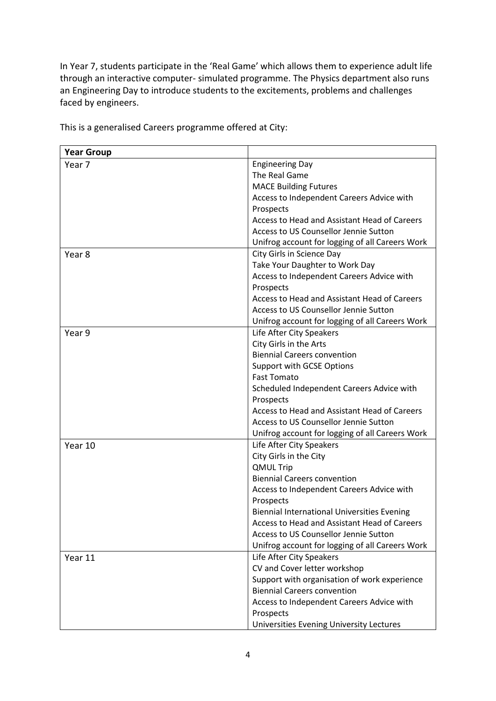In Year 7, students participate in the 'Real Game' which allows them to experience adult life through an interactive computer- simulated programme. The Physics department also runs an Engineering Day to introduce students to the excitements, problems and challenges faced by engineers.

| <b>Year Group</b> |                                                    |
|-------------------|----------------------------------------------------|
| Year 7            | <b>Engineering Day</b>                             |
|                   | The Real Game                                      |
|                   | <b>MACE Building Futures</b>                       |
|                   | Access to Independent Careers Advice with          |
|                   | Prospects                                          |
|                   | Access to Head and Assistant Head of Careers       |
|                   | Access to US Counsellor Jennie Sutton              |
|                   | Unifrog account for logging of all Careers Work    |
| Year 8            | City Girls in Science Day                          |
|                   | Take Your Daughter to Work Day                     |
|                   | Access to Independent Careers Advice with          |
|                   | Prospects                                          |
|                   | Access to Head and Assistant Head of Careers       |
|                   | Access to US Counsellor Jennie Sutton              |
|                   | Unifrog account for logging of all Careers Work    |
| Year 9            | Life After City Speakers                           |
|                   | City Girls in the Arts                             |
|                   | <b>Biennial Careers convention</b>                 |
|                   | <b>Support with GCSE Options</b>                   |
|                   | <b>Fast Tomato</b>                                 |
|                   | Scheduled Independent Careers Advice with          |
|                   | Prospects                                          |
|                   | Access to Head and Assistant Head of Careers       |
|                   | Access to US Counsellor Jennie Sutton              |
|                   | Unifrog account for logging of all Careers Work    |
| Year 10           | Life After City Speakers                           |
|                   | City Girls in the City                             |
|                   | <b>QMUL Trip</b>                                   |
|                   | <b>Biennial Careers convention</b>                 |
|                   | Access to Independent Careers Advice with          |
|                   | Prospects                                          |
|                   | <b>Biennial International Universities Evening</b> |
|                   | Access to Head and Assistant Head of Careers       |
|                   | Access to US Counsellor Jennie Sutton              |
|                   | Unifrog account for logging of all Careers Work    |
| Year 11           | Life After City Speakers                           |
|                   | CV and Cover letter workshop                       |
|                   | Support with organisation of work experience       |
|                   | <b>Biennial Careers convention</b>                 |
|                   | Access to Independent Careers Advice with          |
|                   | Prospects                                          |
|                   | Universities Evening University Lectures           |

This is a generalised Careers programme offered at City: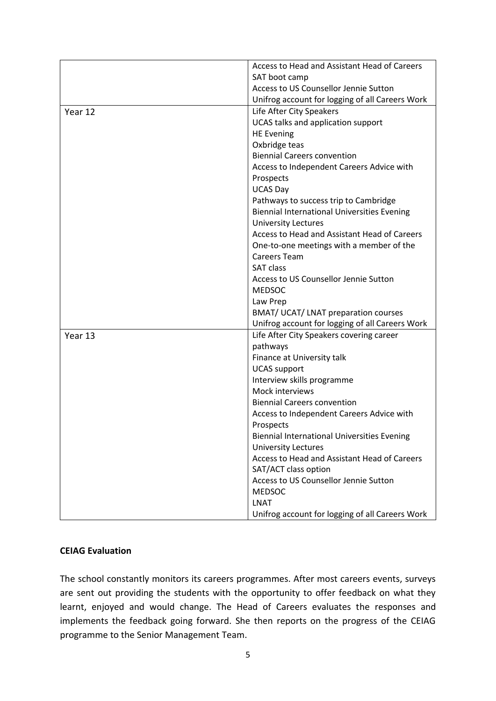|         | Access to Head and Assistant Head of Careers       |
|---------|----------------------------------------------------|
|         | SAT boot camp                                      |
|         | Access to US Counsellor Jennie Sutton              |
|         | Unifrog account for logging of all Careers Work    |
| Year 12 | Life After City Speakers                           |
|         | UCAS talks and application support                 |
|         | <b>HE Evening</b>                                  |
|         | Oxbridge teas                                      |
|         | <b>Biennial Careers convention</b>                 |
|         | Access to Independent Careers Advice with          |
|         | Prospects                                          |
|         | <b>UCAS Day</b>                                    |
|         | Pathways to success trip to Cambridge              |
|         | <b>Biennial International Universities Evening</b> |
|         | <b>University Lectures</b>                         |
|         | Access to Head and Assistant Head of Careers       |
|         | One-to-one meetings with a member of the           |
|         | <b>Careers Team</b>                                |
|         | <b>SAT class</b>                                   |
|         | Access to US Counsellor Jennie Sutton              |
|         | <b>MEDSOC</b>                                      |
|         | Law Prep                                           |
|         | <b>BMAT/ UCAT/ LNAT preparation courses</b>        |
|         | Unifrog account for logging of all Careers Work    |
| Year 13 | Life After City Speakers covering career           |
|         | pathways                                           |
|         | Finance at University talk                         |
|         | <b>UCAS</b> support                                |
|         | Interview skills programme                         |
|         | Mock interviews                                    |
|         | <b>Biennial Careers convention</b>                 |
|         | Access to Independent Careers Advice with          |
|         | Prospects                                          |
|         | <b>Biennial International Universities Evening</b> |
|         | <b>University Lectures</b>                         |
|         | Access to Head and Assistant Head of Careers       |
|         | SAT/ACT class option                               |
|         | Access to US Counsellor Jennie Sutton              |
|         | <b>MEDSOC</b>                                      |
|         | <b>LNAT</b>                                        |
|         | Unifrog account for logging of all Careers Work    |

### **CEIAG Evaluation**

The school constantly monitors its careers programmes. After most careers events, surveys are sent out providing the students with the opportunity to offer feedback on what they learnt, enjoyed and would change. The Head of Careers evaluates the responses and implements the feedback going forward. She then reports on the progress of the CEIAG programme to the Senior Management Team.